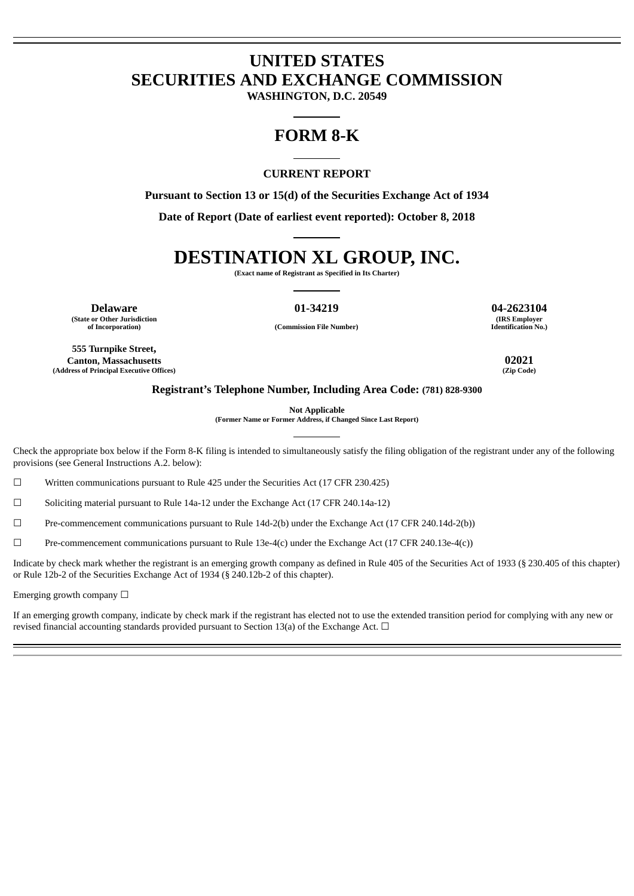# **UNITED STATES SECURITIES AND EXCHANGE COMMISSION**

**WASHINGTON, D.C. 20549**

# **FORM 8-K**

#### **CURRENT REPORT**

**Pursuant to Section 13 or 15(d) of the Securities Exchange Act of 1934**

**Date of Report (Date of earliest event reported): October 8, 2018**

# **DESTINATION XL GROUP, INC.**

**(Exact name of Registrant as Specified in Its Charter)**

**Delaware 01-34219 04-2623104 (State or Other Jurisdiction of Incorporation) (Commission File Number)**

**(IRS Employer Identification No.)**

**555 Turnpike Street, Canton, Massachusetts 02021 (Address of Principal Executive Offices)** 

#### **Registrant's Telephone Number, Including Area Code: (781) 828-9300**

**Not Applicable**

**(Former Name or Former Address, if Changed Since Last Report)**

Check the appropriate box below if the Form 8-K filing is intended to simultaneously satisfy the filing obligation of the registrant under any of the following provisions (see General Instructions A.2. below):

☐ Written communications pursuant to Rule 425 under the Securities Act (17 CFR 230.425)

 $\Box$  Soliciting material pursuant to Rule 14a-12 under the Exchange Act (17 CFR 240.14a-12)

☐ Pre-commencement communications pursuant to Rule 14d-2(b) under the Exchange Act (17 CFR 240.14d-2(b))

 $\Box$  Pre-commencement communications pursuant to Rule 13e-4(c) under the Exchange Act (17 CFR 240.13e-4(c))

Indicate by check mark whether the registrant is an emerging growth company as defined in Rule 405 of the Securities Act of 1933 (§ 230.405 of this chapter) or Rule 12b-2 of the Securities Exchange Act of 1934 (§ 240.12b-2 of this chapter).

Emerging growth company  $\Box$ 

If an emerging growth company, indicate by check mark if the registrant has elected not to use the extended transition period for complying with any new or revised financial accounting standards provided pursuant to Section 13(a) of the Exchange Act.  $\Box$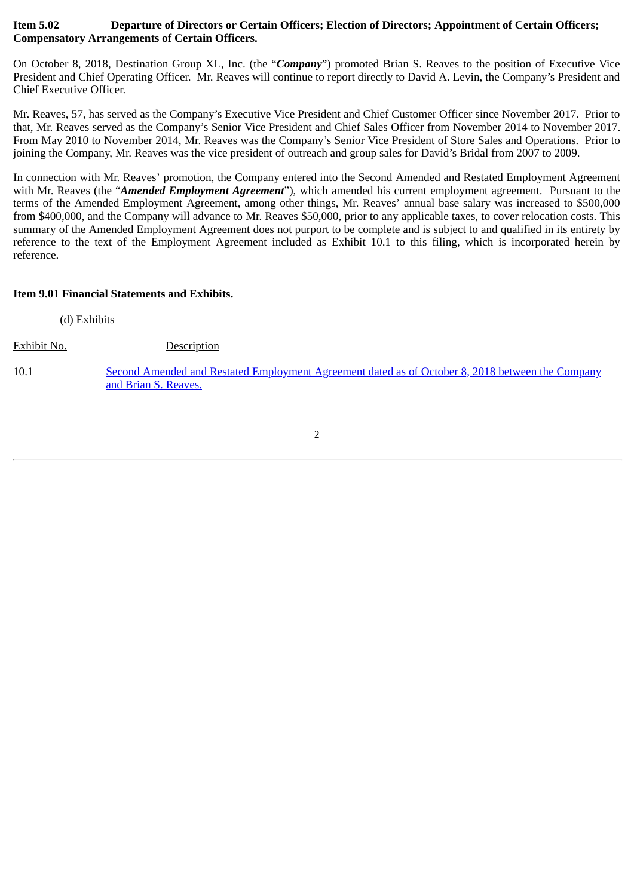# **Item 5.02 Departure of Directors or Certain Officers; Election of Directors; Appointment of Certain Officers; Compensatory Arrangements of Certain Officers.**

On October 8, 2018, Destination Group XL, Inc. (the "*Company*") promoted Brian S. Reaves to the position of Executive Vice President and Chief Operating Officer. Mr. Reaves will continue to report directly to David A. Levin, the Company's President and Chief Executive Officer.

Mr. Reaves, 57, has served as the Company's Executive Vice President and Chief Customer Officer since November 2017. Prior to that, Mr. Reaves served as the Company's Senior Vice President and Chief Sales Officer from November 2014 to November 2017. From May 2010 to November 2014, Mr. Reaves was the Company's Senior Vice President of Store Sales and Operations. Prior to joining the Company, Mr. Reaves was the vice president of outreach and group sales for David's Bridal from 2007 to 2009.

In connection with Mr. Reaves' promotion, the Company entered into the Second Amended and Restated Employment Agreement with Mr. Reaves (the "*Amended Employment Agreement*"), which amended his current employment agreement. Pursuant to the terms of the Amended Employment Agreement, among other things, Mr. Reaves' annual base salary was increased to \$500,000 from \$400,000, and the Company will advance to Mr. Reaves \$50,000, prior to any applicable taxes, to cover relocation costs. This summary of the Amended Employment Agreement does not purport to be complete and is subject to and qualified in its entirety by reference to the text of the Employment Agreement included as Exhibit 10.1 to this filing, which is incorporated herein by reference.

# **Item 9.01 Financial Statements and Exhibits.**

(d) Exhibits

Exhibit No. Description

10.1 [Second Amended and Restated Employment Agreement dated as of October 8, 2018 between the Company](#page-4-0) and Brian S. Reaves.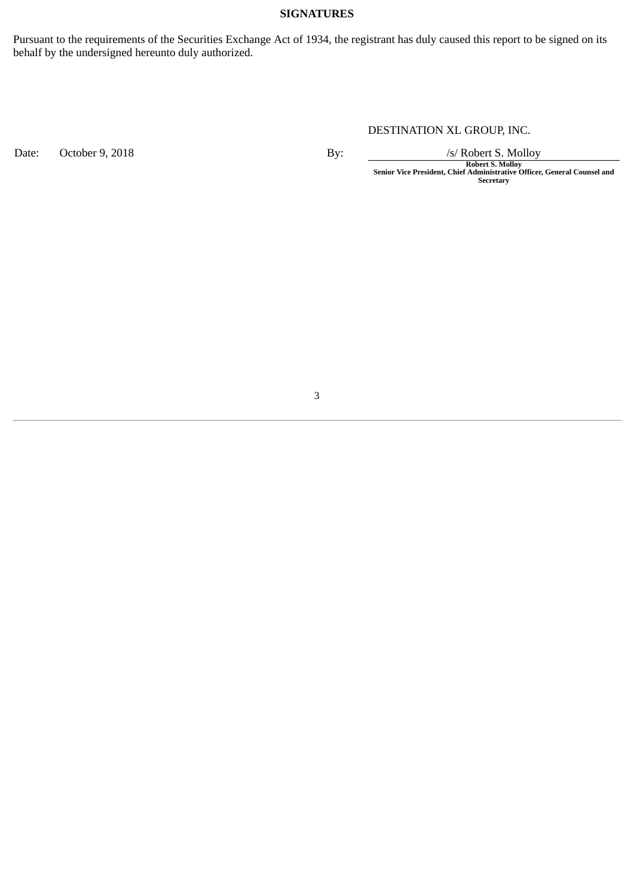#### **SIGNATURES**

Pursuant to the requirements of the Securities Exchange Act of 1934, the registrant has duly caused this report to be signed on its behalf by the undersigned hereunto duly authorized.

# DESTINATION XL GROUP, INC.

Date: October 9, 2018 **By:** By: */s/ Robert S. Molloy* 

**Robert S. Molloy Senior Vice President, Chief Administrative Officer, General Counsel and Secretary**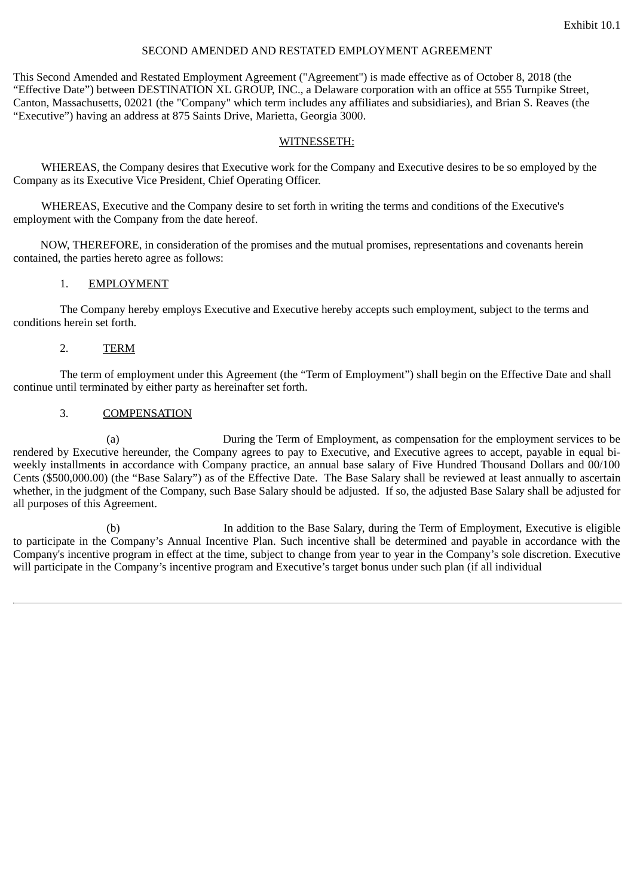#### SECOND AMENDED AND RESTATED EMPLOYMENT AGREEMENT

<span id="page-4-0"></span>This Second Amended and Restated Employment Agreement ("Agreement") is made effective as of October 8, 2018 (the "Effective Date") between DESTINATION XL GROUP, INC., a Delaware corporation with an office at 555 Turnpike Street, Canton, Massachusetts, 02021 (the "Company" which term includes any affiliates and subsidiaries), and Brian S. Reaves (the "Executive") having an address at 875 Saints Drive, Marietta, Georgia 3000.

#### WITNESSETH:

WHEREAS, the Company desires that Executive work for the Company and Executive desires to be so employed by the Company as its Executive Vice President, Chief Operating Officer.

WHEREAS, Executive and the Company desire to set forth in writing the terms and conditions of the Executive's employment with the Company from the date hereof.

NOW, THEREFORE, in consideration of the promises and the mutual promises, representations and covenants herein contained, the parties hereto agree as follows:

#### 1. EMPLOYMENT

The Company hereby employs Executive and Executive hereby accepts such employment, subject to the terms and conditions herein set forth.

#### 2. TERM

The term of employment under this Agreement (the "Term of Employment") shall begin on the Effective Date and shall continue until terminated by either party as hereinafter set forth.

#### 3. COMPENSATION

(a) During the Term of Employment, as compensation for the employment services to be rendered by Executive hereunder, the Company agrees to pay to Executive, and Executive agrees to accept, payable in equal biweekly installments in accordance with Company practice, an annual base salary of Five Hundred Thousand Dollars and 00/100 Cents (\$500,000.00) (the "Base Salary") as of the Effective Date. The Base Salary shall be reviewed at least annually to ascertain whether, in the judgment of the Company, such Base Salary should be adjusted. If so, the adjusted Base Salary shall be adjusted for all purposes of this Agreement.

(b) In addition to the Base Salary, during the Term of Employment, Executive is eligible to participate in the Company's Annual Incentive Plan. Such incentive shall be determined and payable in accordance with the Company's incentive program in effect at the time, subject to change from year to year in the Company's sole discretion. Executive will participate in the Company's incentive program and Executive's target bonus under such plan (if all individual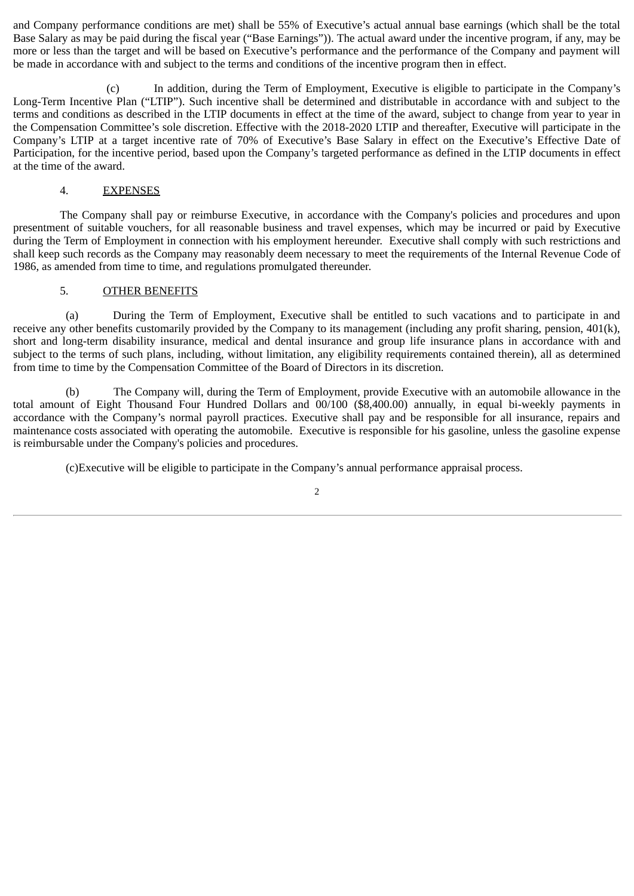and Company performance conditions are met) shall be 55% of Executive's actual annual base earnings (which shall be the total Base Salary as may be paid during the fiscal year ("Base Earnings")). The actual award under the incentive program, if any, may be more or less than the target and will be based on Executive's performance and the performance of the Company and payment will be made in accordance with and subject to the terms and conditions of the incentive program then in effect.

(c) In addition, during the Term of Employment, Executive is eligible to participate in the Company's Long-Term Incentive Plan ("LTIP"). Such incentive shall be determined and distributable in accordance with and subject to the terms and conditions as described in the LTIP documents in effect at the time of the award, subject to change from year to year in the Compensation Committee's sole discretion. Effective with the 2018-2020 LTIP and thereafter, Executive will participate in the Company's LTIP at a target incentive rate of 70% of Executive's Base Salary in effect on the Executive's Effective Date of Participation, for the incentive period, based upon the Company's targeted performance as defined in the LTIP documents in effect at the time of the award.

#### 4. EXPENSES

The Company shall pay or reimburse Executive, in accordance with the Company's policies and procedures and upon presentment of suitable vouchers, for all reasonable business and travel expenses, which may be incurred or paid by Executive during the Term of Employment in connection with his employment hereunder. Executive shall comply with such restrictions and shall keep such records as the Company may reasonably deem necessary to meet the requirements of the Internal Revenue Code of 1986, as amended from time to time, and regulations promulgated thereunder.

#### 5. OTHER BENEFITS

(a) During the Term of Employment, Executive shall be entitled to such vacations and to participate in and receive any other benefits customarily provided by the Company to its management (including any profit sharing, pension, 401(k), short and long-term disability insurance, medical and dental insurance and group life insurance plans in accordance with and subject to the terms of such plans, including, without limitation, any eligibility requirements contained therein), all as determined from time to time by the Compensation Committee of the Board of Directors in its discretion.

(b) The Company will, during the Term of Employment, provide Executive with an automobile allowance in the total amount of Eight Thousand Four Hundred Dollars and 00/100 (\$8,400.00) annually, in equal bi-weekly payments in accordance with the Company's normal payroll practices. Executive shall pay and be responsible for all insurance, repairs and maintenance costs associated with operating the automobile. Executive is responsible for his gasoline, unless the gasoline expense is reimbursable under the Company's policies and procedures.

(c)Executive will be eligible to participate in the Company's annual performance appraisal process.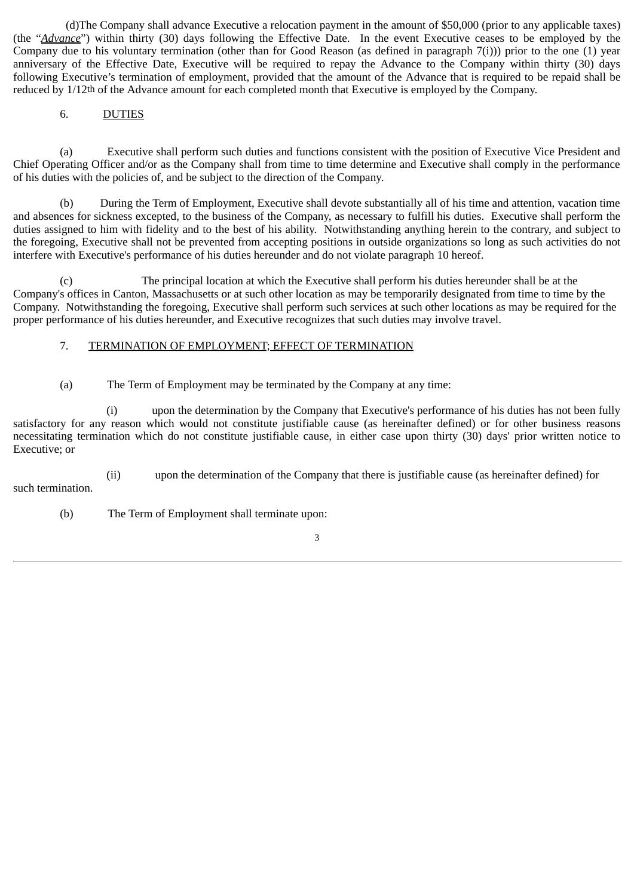(d)The Company shall advance Executive a relocation payment in the amount of \$50,000 (prior to any applicable taxes) (the "*Advance*") within thirty (30) days following the Effective Date. In the event Executive ceases to be employed by the Company due to his voluntary termination (other than for Good Reason (as defined in paragraph  $7(i)$ )) prior to the one (1) year anniversary of the Effective Date, Executive will be required to repay the Advance to the Company within thirty (30) days following Executive's termination of employment, provided that the amount of the Advance that is required to be repaid shall be reduced by 1/12th of the Advance amount for each completed month that Executive is employed by the Company.

# 6. DUTIES

(a) Executive shall perform such duties and functions consistent with the position of Executive Vice President and Chief Operating Officer and/or as the Company shall from time to time determine and Executive shall comply in the performance of his duties with the policies of, and be subject to the direction of the Company.

(b) During the Term of Employment, Executive shall devote substantially all of his time and attention, vacation time and absences for sickness excepted, to the business of the Company, as necessary to fulfill his duties. Executive shall perform the duties assigned to him with fidelity and to the best of his ability. Notwithstanding anything herein to the contrary, and subject to the foregoing, Executive shall not be prevented from accepting positions in outside organizations so long as such activities do not interfere with Executive's performance of his duties hereunder and do not violate paragraph 10 hereof.

(c) The principal location at which the Executive shall perform his duties hereunder shall be at the Company's offices in Canton, Massachusetts or at such other location as may be temporarily designated from time to time by the Company. Notwithstanding the foregoing, Executive shall perform such services at such other locations as may be required for the proper performance of his duties hereunder, and Executive recognizes that such duties may involve travel.

# 7. TERMINATION OF EMPLOYMENT; EFFECT OF TERMINATION

(a) The Term of Employment may be terminated by the Company at any time:

(i) upon the determination by the Company that Executive's performance of his duties has not been fully satisfactory for any reason which would not constitute justifiable cause (as hereinafter defined) or for other business reasons necessitating termination which do not constitute justifiable cause, in either case upon thirty (30) days' prior written notice to Executive; or

(ii) upon the determination of the Company that there is justifiable cause (as hereinafter defined) for such termination.

(b) The Term of Employment shall terminate upon: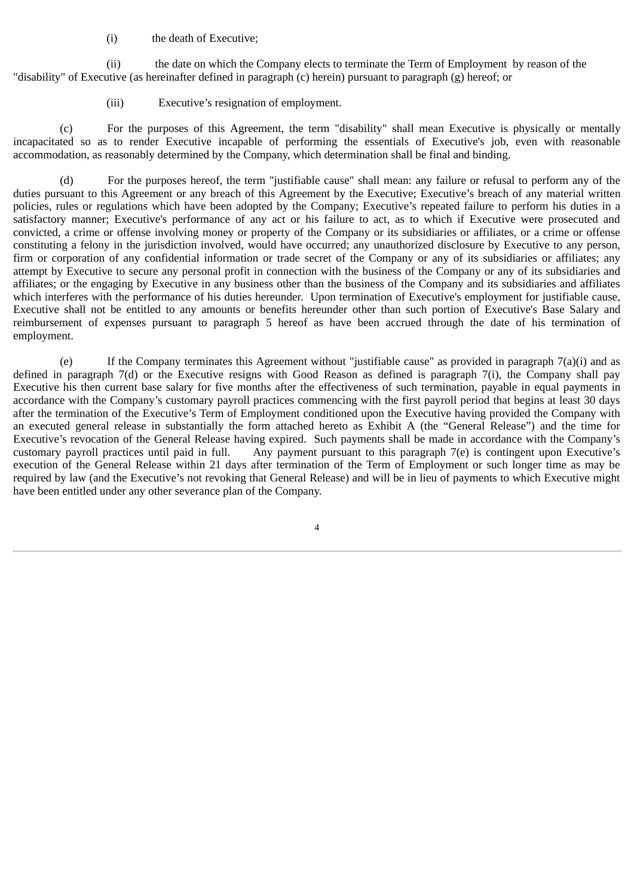(i) the death of Executive;

(ii) the date on which the Company elects to terminate the Term of Employment by reason of the "disability" of Executive (as hereinafter defined in paragraph (c) herein) pursuant to paragraph (g) hereof; or

(iii) Executive's resignation of employment.

(c) For the purposes of this Agreement, the term "disability" shall mean Executive is physically or mentally incapacitated so as to render Executive incapable of performing the essentials of Executive's job, even with reasonable accommodation, as reasonably determined by the Company, which determination shall be final and binding.

(d) For the purposes hereof, the term "justifiable cause" shall mean: any failure or refusal to perform any of the duties pursuant to this Agreement or any breach of this Agreement by the Executive; Executive's breach of any material written policies, rules or regulations which have been adopted by the Company; Executive's repeated failure to perform his duties in a satisfactory manner; Executive's performance of any act or his failure to act, as to which if Executive were prosecuted and convicted, a crime or offense involving money or property of the Company or its subsidiaries or affiliates, or a crime or offense constituting a felony in the jurisdiction involved, would have occurred; any unauthorized disclosure by Executive to any person, firm or corporation of any confidential information or trade secret of the Company or any of its subsidiaries or affiliates; any attempt by Executive to secure any personal profit in connection with the business of the Company or any of its subsidiaries and affiliates; or the engaging by Executive in any business other than the business of the Company and its subsidiaries and affiliates which interferes with the performance of his duties hereunder. Upon termination of Executive's employment for justifiable cause, Executive shall not be entitled to any amounts or benefits hereunder other than such portion of Executive's Base Salary and reimbursement of expenses pursuant to paragraph 5 hereof as have been accrued through the date of his termination of employment.

(e) If the Company terminates this Agreement without "justifiable cause" as provided in paragraph 7(a)(i) and as defined in paragraph 7(d) or the Executive resigns with Good Reason as defined is paragraph 7(i), the Company shall pay Executive his then current base salary for five months after the effectiveness of such termination, payable in equal payments in accordance with the Company's customary payroll practices commencing with the first payroll period that begins at least 30 days after the termination of the Executive's Term of Employment conditioned upon the Executive having provided the Company with an executed general release in substantially the form attached hereto as Exhibit A (the "General Release") and the time for Executive's revocation of the General Release having expired. Such payments shall be made in accordance with the Company's customary payroll practices until paid in full. Any payment pursuant to this paragraph 7(e) is contingent upon Executive's execution of the General Release within 21 days after termination of the Term of Employment or such longer time as may be required by law (and the Executive's not revoking that General Release) and will be in lieu of payments to which Executive might have been entitled under any other severance plan of the Company.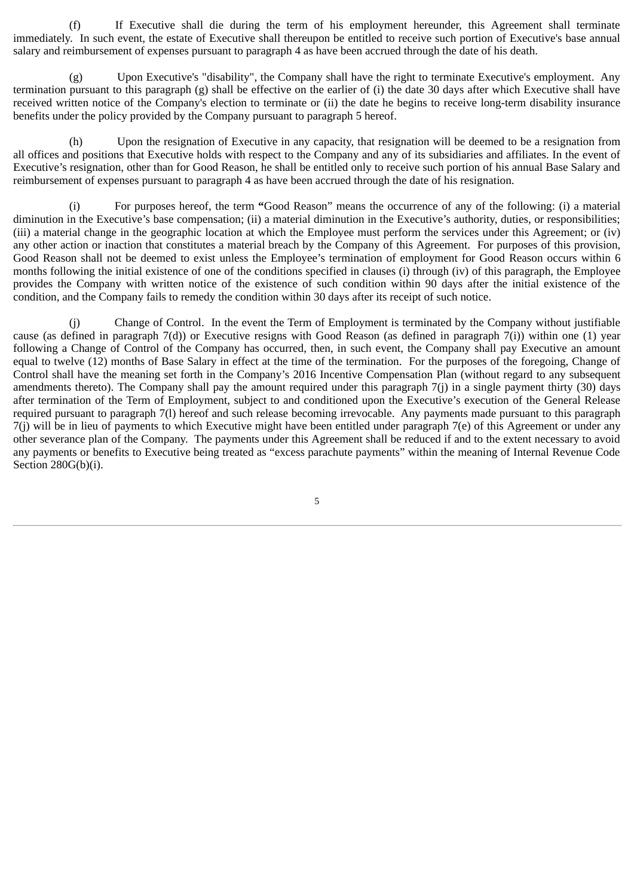(f) If Executive shall die during the term of his employment hereunder, this Agreement shall terminate immediately. In such event, the estate of Executive shall thereupon be entitled to receive such portion of Executive's base annual salary and reimbursement of expenses pursuant to paragraph 4 as have been accrued through the date of his death.

(g) Upon Executive's "disability", the Company shall have the right to terminate Executive's employment. Any termination pursuant to this paragraph (g) shall be effective on the earlier of (i) the date 30 days after which Executive shall have received written notice of the Company's election to terminate or (ii) the date he begins to receive long-term disability insurance benefits under the policy provided by the Company pursuant to paragraph 5 hereof.

(h) Upon the resignation of Executive in any capacity, that resignation will be deemed to be a resignation from all offices and positions that Executive holds with respect to the Company and any of its subsidiaries and affiliates. In the event of Executive's resignation, other than for Good Reason, he shall be entitled only to receive such portion of his annual Base Salary and reimbursement of expenses pursuant to paragraph 4 as have been accrued through the date of his resignation.

(i) For purposes hereof, the term **"**Good Reason" means the occurrence of any of the following: (i) a material diminution in the Executive's base compensation; (ii) a material diminution in the Executive's authority, duties, or responsibilities; (iii) a material change in the geographic location at which the Employee must perform the services under this Agreement; or (iv) any other action or inaction that constitutes a material breach by the Company of this Agreement. For purposes of this provision, Good Reason shall not be deemed to exist unless the Employee's termination of employment for Good Reason occurs within 6 months following the initial existence of one of the conditions specified in clauses (i) through (iv) of this paragraph, the Employee provides the Company with written notice of the existence of such condition within 90 days after the initial existence of the condition, and the Company fails to remedy the condition within 30 days after its receipt of such notice.

(j) Change of Control. In the event the Term of Employment is terminated by the Company without justifiable cause (as defined in paragraph 7(d)) or Executive resigns with Good Reason (as defined in paragraph 7(i)) within one (1) year following a Change of Control of the Company has occurred, then, in such event, the Company shall pay Executive an amount equal to twelve (12) months of Base Salary in effect at the time of the termination. For the purposes of the foregoing, Change of Control shall have the meaning set forth in the Company's 2016 Incentive Compensation Plan (without regard to any subsequent amendments thereto). The Company shall pay the amount required under this paragraph 7(j) in a single payment thirty (30) days after termination of the Term of Employment, subject to and conditioned upon the Executive's execution of the General Release required pursuant to paragraph 7(l) hereof and such release becoming irrevocable. Any payments made pursuant to this paragraph  $7(i)$  will be in lieu of payments to which Executive might have been entitled under paragraph  $7(e)$  of this Agreement or under any other severance plan of the Company. The payments under this Agreement shall be reduced if and to the extent necessary to avoid any payments or benefits to Executive being treated as "excess parachute payments" within the meaning of Internal Revenue Code Section 280G(b)(i).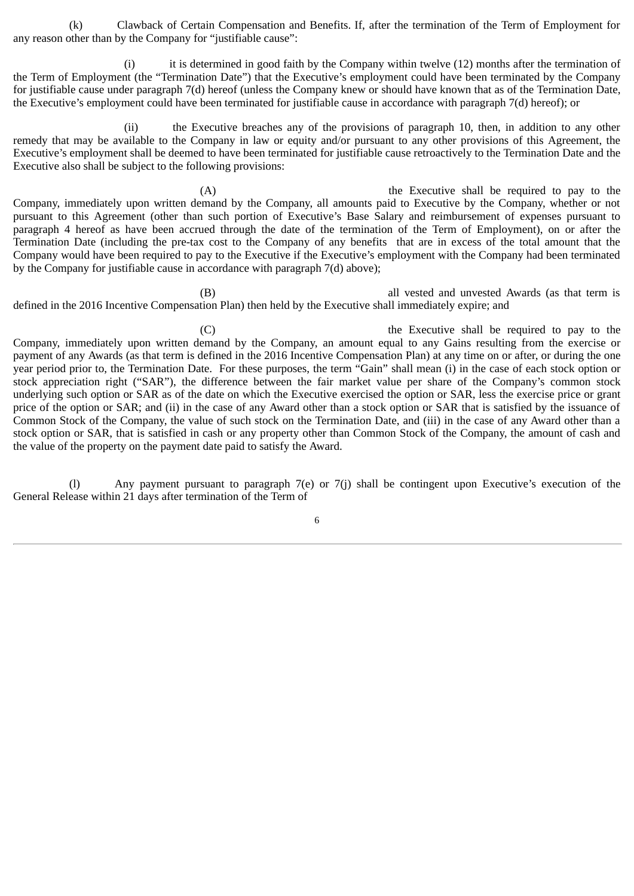(k) Clawback of Certain Compensation and Benefits. If, after the termination of the Term of Employment for any reason other than by the Company for "justifiable cause":

(i) it is determined in good faith by the Company within twelve (12) months after the termination of the Term of Employment (the "Termination Date") that the Executive's employment could have been terminated by the Company for justifiable cause under paragraph 7(d) hereof (unless the Company knew or should have known that as of the Termination Date, the Executive's employment could have been terminated for justifiable cause in accordance with paragraph 7(d) hereof); or

(ii) the Executive breaches any of the provisions of paragraph 10, then, in addition to any other remedy that may be available to the Company in law or equity and/or pursuant to any other provisions of this Agreement, the Executive's employment shall be deemed to have been terminated for justifiable cause retroactively to the Termination Date and the Executive also shall be subject to the following provisions:

(A) the Executive shall be required to pay to the Company, immediately upon written demand by the Company, all amounts paid to Executive by the Company, whether or not pursuant to this Agreement (other than such portion of Executive's Base Salary and reimbursement of expenses pursuant to paragraph 4 hereof as have been accrued through the date of the termination of the Term of Employment), on or after the Termination Date (including the pre-tax cost to the Company of any benefits that are in excess of the total amount that the Company would have been required to pay to the Executive if the Executive's employment with the Company had been terminated by the Company for justifiable cause in accordance with paragraph 7(d) above);

(B) all vested and unvested Awards (as that term is defined in the 2016 Incentive Compensation Plan) then held by the Executive shall immediately expire; and

(C) the Executive shall be required to pay to the Company, immediately upon written demand by the Company, an amount equal to any Gains resulting from the exercise or payment of any Awards (as that term is defined in the 2016 Incentive Compensation Plan) at any time on or after, or during the one year period prior to, the Termination Date. For these purposes, the term "Gain" shall mean (i) in the case of each stock option or stock appreciation right ("SAR"), the difference between the fair market value per share of the Company's common stock underlying such option or SAR as of the date on which the Executive exercised the option or SAR, less the exercise price or grant price of the option or SAR; and (ii) in the case of any Award other than a stock option or SAR that is satisfied by the issuance of Common Stock of the Company, the value of such stock on the Termination Date, and (iii) in the case of any Award other than a stock option or SAR, that is satisfied in cash or any property other than Common Stock of the Company, the amount of cash and the value of the property on the payment date paid to satisfy the Award.

(l) Any payment pursuant to paragraph 7(e) or 7(j) shall be contingent upon Executive's execution of the General Release within 21 days after termination of the Term of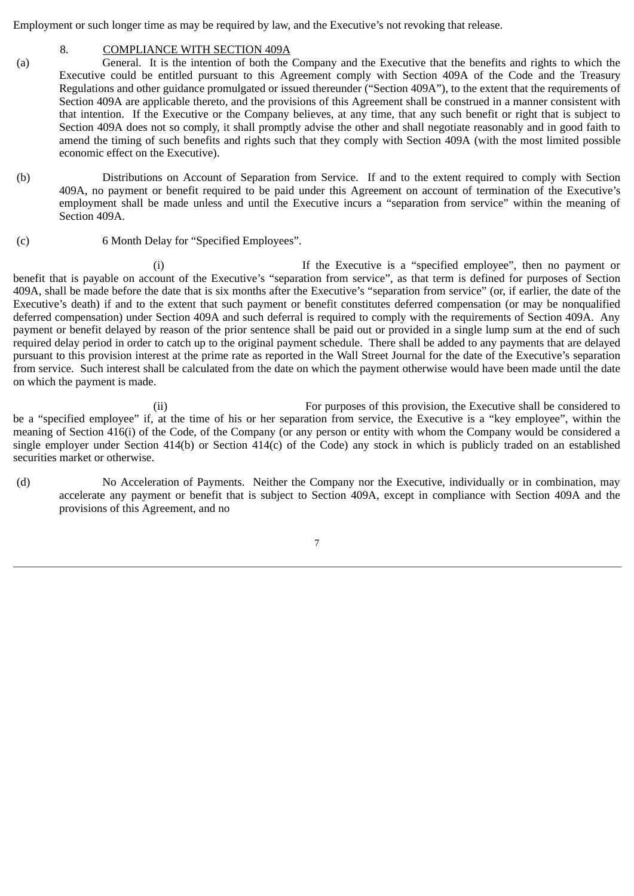Employment or such longer time as may be required by law, and the Executive's not revoking that release.

# 8. COMPLIANCE WITH SECTION 409A

- (a) General. It is the intention of both the Company and the Executive that the benefits and rights to which the Executive could be entitled pursuant to this Agreement comply with Section 409A of the Code and the Treasury Regulations and other guidance promulgated or issued thereunder ("Section 409A"), to the extent that the requirements of Section 409A are applicable thereto, and the provisions of this Agreement shall be construed in a manner consistent with that intention. If the Executive or the Company believes, at any time, that any such benefit or right that is subject to Section 409A does not so comply, it shall promptly advise the other and shall negotiate reasonably and in good faith to amend the timing of such benefits and rights such that they comply with Section 409A (with the most limited possible economic effect on the Executive).
- (b) Distributions on Account of Separation from Service. If and to the extent required to comply with Section 409A, no payment or benefit required to be paid under this Agreement on account of termination of the Executive's employment shall be made unless and until the Executive incurs a "separation from service" within the meaning of Section 409A.
- (c) 6 Month Delay for "Specified Employees".

(i) If the Executive is a "specified employee", then no payment or benefit that is payable on account of the Executive's "separation from service", as that term is defined for purposes of Section 409A, shall be made before the date that is six months after the Executive's "separation from service" (or, if earlier, the date of the Executive's death) if and to the extent that such payment or benefit constitutes deferred compensation (or may be nonqualified deferred compensation) under Section 409A and such deferral is required to comply with the requirements of Section 409A. Any payment or benefit delayed by reason of the prior sentence shall be paid out or provided in a single lump sum at the end of such required delay period in order to catch up to the original payment schedule. There shall be added to any payments that are delayed pursuant to this provision interest at the prime rate as reported in the Wall Street Journal for the date of the Executive's separation from service. Such interest shall be calculated from the date on which the payment otherwise would have been made until the date on which the payment is made.

(ii) For purposes of this provision, the Executive shall be considered to be a "specified employee" if, at the time of his or her separation from service, the Executive is a "key employee", within the meaning of Section 416(i) of the Code, of the Company (or any person or entity with whom the Company would be considered a single employer under Section 414(b) or Section 414(c) of the Code) any stock in which is publicly traded on an established securities market or otherwise.

(d) No Acceleration of Payments. Neither the Company nor the Executive, individually or in combination, may accelerate any payment or benefit that is subject to Section 409A, except in compliance with Section 409A and the provisions of this Agreement, and no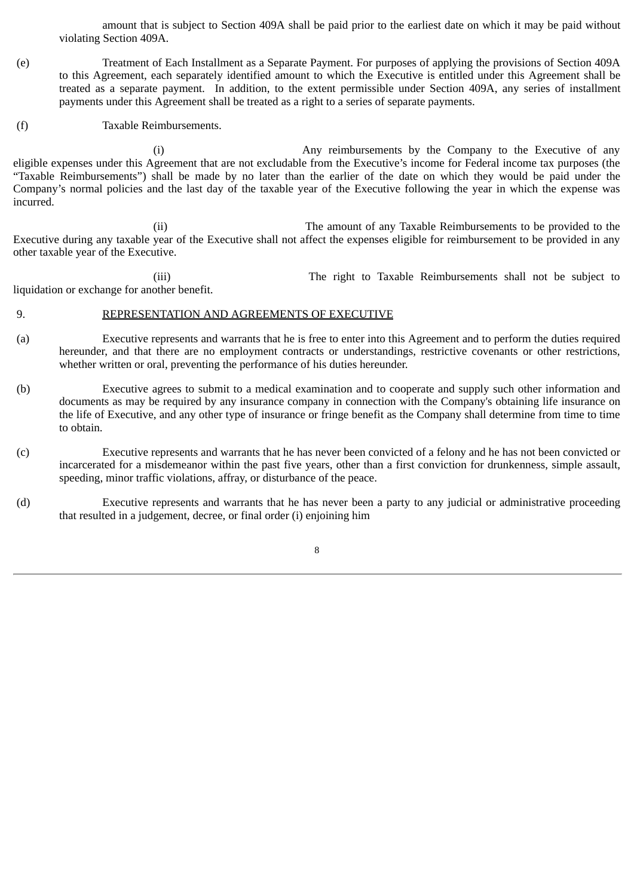amount that is subject to Section 409A shall be paid prior to the earliest date on which it may be paid without violating Section 409A.

- (e) Treatment of Each Installment as a Separate Payment. For purposes of applying the provisions of Section 409A to this Agreement, each separately identified amount to which the Executive is entitled under this Agreement shall be treated as a separate payment. In addition, to the extent permissible under Section 409A, any series of installment payments under this Agreement shall be treated as a right to a series of separate payments.
- (f) Taxable Reimbursements.

(i) Any reimbursements by the Company to the Executive of any eligible expenses under this Agreement that are not excludable from the Executive's income for Federal income tax purposes (the "Taxable Reimbursements") shall be made by no later than the earlier of the date on which they would be paid under the Company's normal policies and the last day of the taxable year of the Executive following the year in which the expense was incurred.

(ii) The amount of any Taxable Reimbursements to be provided to the Executive during any taxable year of the Executive shall not affect the expenses eligible for reimbursement to be provided in any other taxable year of the Executive.

(iii) The right to Taxable Reimbursements shall not be subject to liquidation or exchange for another benefit.

#### 9. REPRESENTATION AND AGREEMENTS OF EXECUTIVE

- (a) Executive represents and warrants that he is free to enter into this Agreement and to perform the duties required hereunder, and that there are no employment contracts or understandings, restrictive covenants or other restrictions, whether written or oral, preventing the performance of his duties hereunder.
- (b) Executive agrees to submit to a medical examination and to cooperate and supply such other information and documents as may be required by any insurance company in connection with the Company's obtaining life insurance on the life of Executive, and any other type of insurance or fringe benefit as the Company shall determine from time to time to obtain.
- (c) Executive represents and warrants that he has never been convicted of a felony and he has not been convicted or incarcerated for a misdemeanor within the past five years, other than a first conviction for drunkenness, simple assault, speeding, minor traffic violations, affray, or disturbance of the peace.
- (d) Executive represents and warrants that he has never been a party to any judicial or administrative proceeding that resulted in a judgement, decree, or final order (i) enjoining him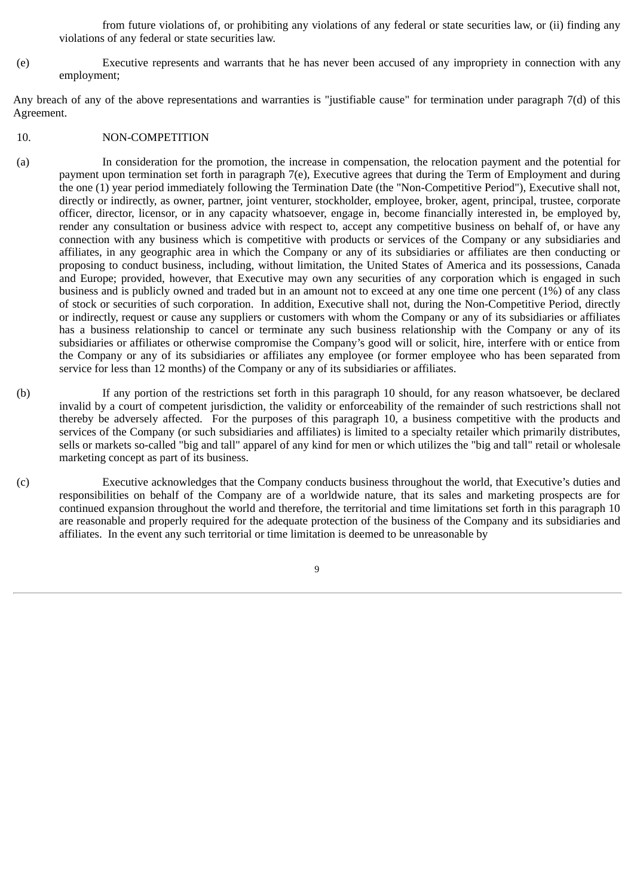from future violations of, or prohibiting any violations of any federal or state securities law, or (ii) finding any violations of any federal or state securities law.

(e) Executive represents and warrants that he has never been accused of any impropriety in connection with any employment;

Any breach of any of the above representations and warranties is "justifiable cause" for termination under paragraph 7(d) of this Agreement.

- 10. NON-COMPETITION
- (a) In consideration for the promotion, the increase in compensation, the relocation payment and the potential for payment upon termination set forth in paragraph 7(e), Executive agrees that during the Term of Employment and during the one (1) year period immediately following the Termination Date (the "Non-Competitive Period"), Executive shall not, directly or indirectly, as owner, partner, joint venturer, stockholder, employee, broker, agent, principal, trustee, corporate officer, director, licensor, or in any capacity whatsoever, engage in, become financially interested in, be employed by, render any consultation or business advice with respect to, accept any competitive business on behalf of, or have any connection with any business which is competitive with products or services of the Company or any subsidiaries and affiliates, in any geographic area in which the Company or any of its subsidiaries or affiliates are then conducting or proposing to conduct business, including, without limitation, the United States of America and its possessions, Canada and Europe; provided, however, that Executive may own any securities of any corporation which is engaged in such business and is publicly owned and traded but in an amount not to exceed at any one time one percent (1%) of any class of stock or securities of such corporation. In addition, Executive shall not, during the Non-Competitive Period, directly or indirectly, request or cause any suppliers or customers with whom the Company or any of its subsidiaries or affiliates has a business relationship to cancel or terminate any such business relationship with the Company or any of its subsidiaries or affiliates or otherwise compromise the Company's good will or solicit, hire, interfere with or entice from the Company or any of its subsidiaries or affiliates any employee (or former employee who has been separated from service for less than 12 months) of the Company or any of its subsidiaries or affiliates.
- (b) If any portion of the restrictions set forth in this paragraph 10 should, for any reason whatsoever, be declared invalid by a court of competent jurisdiction, the validity or enforceability of the remainder of such restrictions shall not thereby be adversely affected. For the purposes of this paragraph 10, a business competitive with the products and services of the Company (or such subsidiaries and affiliates) is limited to a specialty retailer which primarily distributes, sells or markets so-called "big and tall" apparel of any kind for men or which utilizes the "big and tall" retail or wholesale marketing concept as part of its business.
- (c) Executive acknowledges that the Company conducts business throughout the world, that Executive's duties and responsibilities on behalf of the Company are of a worldwide nature, that its sales and marketing prospects are for continued expansion throughout the world and therefore, the territorial and time limitations set forth in this paragraph 10 are reasonable and properly required for the adequate protection of the business of the Company and its subsidiaries and affiliates. In the event any such territorial or time limitation is deemed to be unreasonable by
	- 9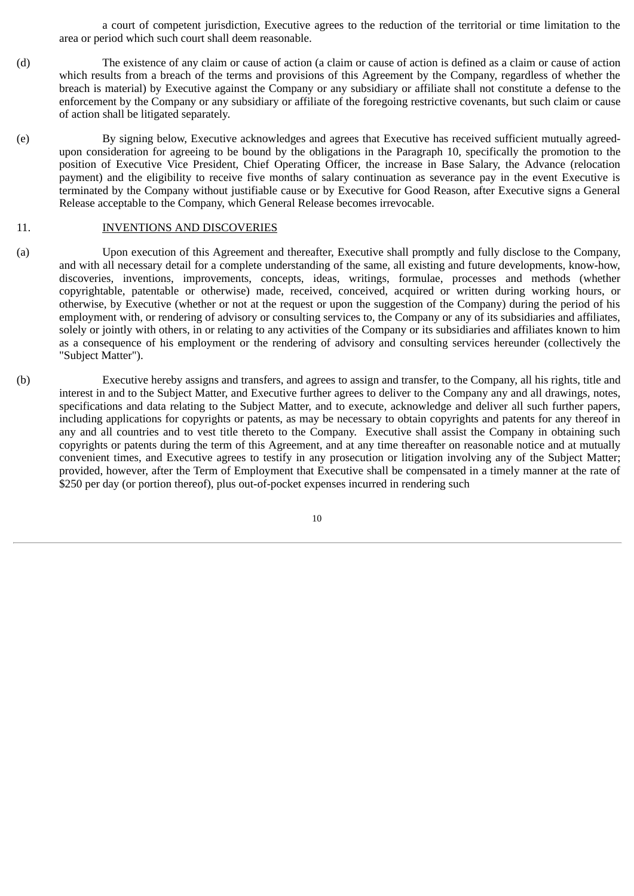a court of competent jurisdiction, Executive agrees to the reduction of the territorial or time limitation to the area or period which such court shall deem reasonable.

- (d) The existence of any claim or cause of action (a claim or cause of action is defined as a claim or cause of action which results from a breach of the terms and provisions of this Agreement by the Company, regardless of whether the breach is material) by Executive against the Company or any subsidiary or affiliate shall not constitute a defense to the enforcement by the Company or any subsidiary or affiliate of the foregoing restrictive covenants, but such claim or cause of action shall be litigated separately.
- (e) By signing below, Executive acknowledges and agrees that Executive has received sufficient mutually agreedupon consideration for agreeing to be bound by the obligations in the Paragraph 10, specifically the promotion to the position of Executive Vice President, Chief Operating Officer, the increase in Base Salary, the Advance (relocation payment) and the eligibility to receive five months of salary continuation as severance pay in the event Executive is terminated by the Company without justifiable cause or by Executive for Good Reason, after Executive signs a General Release acceptable to the Company, which General Release becomes irrevocable.

#### 11. INVENTIONS AND DISCOVERIES

- (a) Upon execution of this Agreement and thereafter, Executive shall promptly and fully disclose to the Company, and with all necessary detail for a complete understanding of the same, all existing and future developments, know-how, discoveries, inventions, improvements, concepts, ideas, writings, formulae, processes and methods (whether copyrightable, patentable or otherwise) made, received, conceived, acquired or written during working hours, or otherwise, by Executive (whether or not at the request or upon the suggestion of the Company) during the period of his employment with, or rendering of advisory or consulting services to, the Company or any of its subsidiaries and affiliates, solely or jointly with others, in or relating to any activities of the Company or its subsidiaries and affiliates known to him as a consequence of his employment or the rendering of advisory and consulting services hereunder (collectively the "Subject Matter").
- (b) Executive hereby assigns and transfers, and agrees to assign and transfer, to the Company, all his rights, title and interest in and to the Subject Matter, and Executive further agrees to deliver to the Company any and all drawings, notes, specifications and data relating to the Subject Matter, and to execute, acknowledge and deliver all such further papers, including applications for copyrights or patents, as may be necessary to obtain copyrights and patents for any thereof in any and all countries and to vest title thereto to the Company. Executive shall assist the Company in obtaining such copyrights or patents during the term of this Agreement, and at any time thereafter on reasonable notice and at mutually convenient times, and Executive agrees to testify in any prosecution or litigation involving any of the Subject Matter; provided, however, after the Term of Employment that Executive shall be compensated in a timely manner at the rate of \$250 per day (or portion thereof), plus out-of-pocket expenses incurred in rendering such

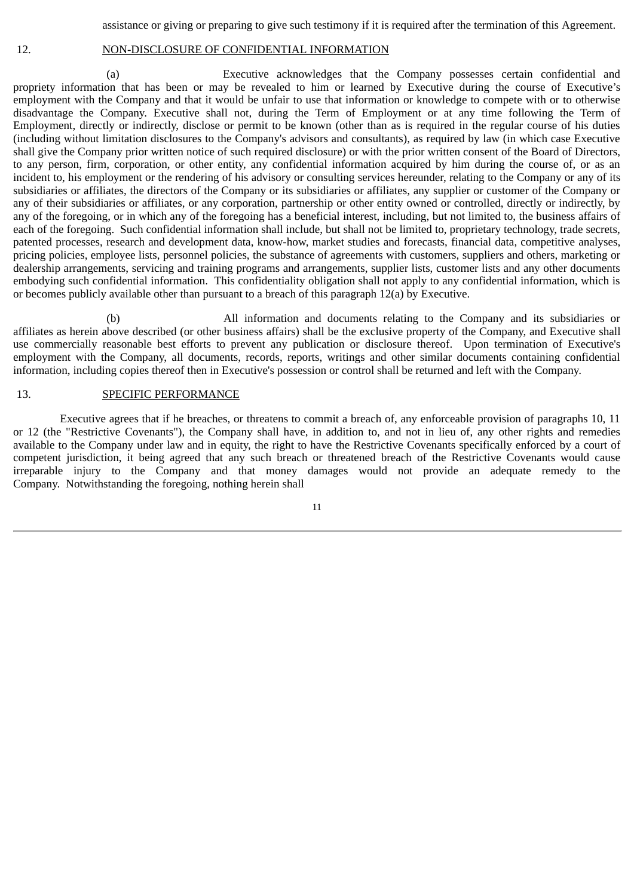assistance or giving or preparing to give such testimony if it is required after the termination of this Agreement.

#### 12. NON-DISCLOSURE OF CONFIDENTIAL INFORMATION

(a) Executive acknowledges that the Company possesses certain confidential and propriety information that has been or may be revealed to him or learned by Executive during the course of Executive's employment with the Company and that it would be unfair to use that information or knowledge to compete with or to otherwise disadvantage the Company. Executive shall not, during the Term of Employment or at any time following the Term of Employment, directly or indirectly, disclose or permit to be known (other than as is required in the regular course of his duties (including without limitation disclosures to the Company's advisors and consultants), as required by law (in which case Executive shall give the Company prior written notice of such required disclosure) or with the prior written consent of the Board of Directors, to any person, firm, corporation, or other entity, any confidential information acquired by him during the course of, or as an incident to, his employment or the rendering of his advisory or consulting services hereunder, relating to the Company or any of its subsidiaries or affiliates, the directors of the Company or its subsidiaries or affiliates, any supplier or customer of the Company or any of their subsidiaries or affiliates, or any corporation, partnership or other entity owned or controlled, directly or indirectly, by any of the foregoing, or in which any of the foregoing has a beneficial interest, including, but not limited to, the business affairs of each of the foregoing. Such confidential information shall include, but shall not be limited to, proprietary technology, trade secrets, patented processes, research and development data, know-how, market studies and forecasts, financial data, competitive analyses, pricing policies, employee lists, personnel policies, the substance of agreements with customers, suppliers and others, marketing or dealership arrangements, servicing and training programs and arrangements, supplier lists, customer lists and any other documents embodying such confidential information. This confidentiality obligation shall not apply to any confidential information, which is or becomes publicly available other than pursuant to a breach of this paragraph 12(a) by Executive.

(b) All information and documents relating to the Company and its subsidiaries or affiliates as herein above described (or other business affairs) shall be the exclusive property of the Company, and Executive shall use commercially reasonable best efforts to prevent any publication or disclosure thereof. Upon termination of Executive's employment with the Company, all documents, records, reports, writings and other similar documents containing confidential information, including copies thereof then in Executive's possession or control shall be returned and left with the Company.

#### 13. SPECIFIC PERFORMANCE

Executive agrees that if he breaches, or threatens to commit a breach of, any enforceable provision of paragraphs 10, 11 or 12 (the "Restrictive Covenants"), the Company shall have, in addition to, and not in lieu of, any other rights and remedies available to the Company under law and in equity, the right to have the Restrictive Covenants specifically enforced by a court of competent jurisdiction, it being agreed that any such breach or threatened breach of the Restrictive Covenants would cause irreparable injury to the Company and that money damages would not provide an adequate remedy to the Company. Notwithstanding the foregoing, nothing herein shall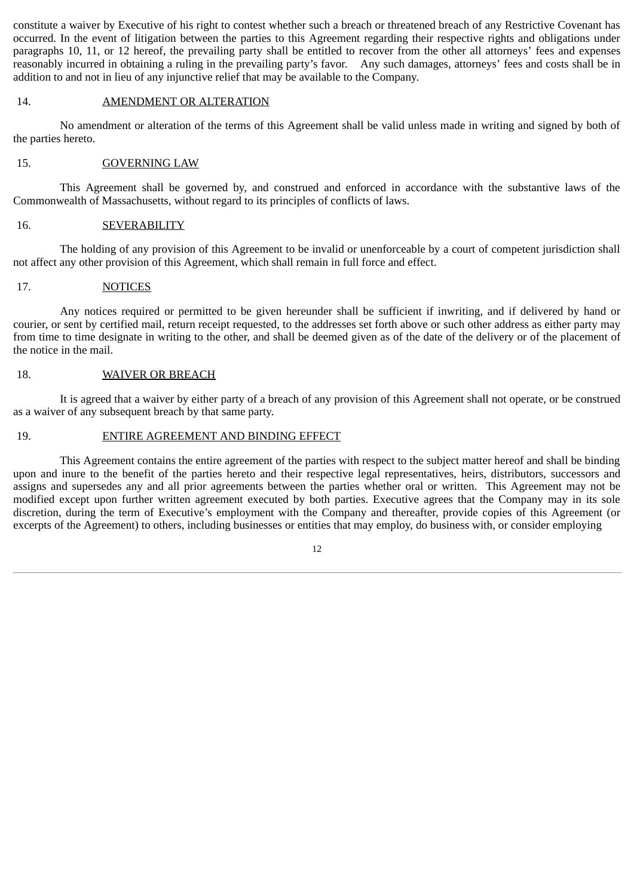constitute a waiver by Executive of his right to contest whether such a breach or threatened breach of any Restrictive Covenant has occurred. In the event of litigation between the parties to this Agreement regarding their respective rights and obligations under paragraphs 10, 11, or 12 hereof, the prevailing party shall be entitled to recover from the other all attorneys' fees and expenses reasonably incurred in obtaining a ruling in the prevailing party's favor. Any such damages, attorneys' fees and costs shall be in addition to and not in lieu of any injunctive relief that may be available to the Company.

#### 14. AMENDMENT OR ALTERATION

No amendment or alteration of the terms of this Agreement shall be valid unless made in writing and signed by both of the parties hereto.

# 15. GOVERNING LAW

This Agreement shall be governed by, and construed and enforced in accordance with the substantive laws of the Commonwealth of Massachusetts, without regard to its principles of conflicts of laws.

#### 16. **SEVERABILITY**

The holding of any provision of this Agreement to be invalid or unenforceable by a court of competent jurisdiction shall not affect any other provision of this Agreement, which shall remain in full force and effect.

#### 17. NOTICES

Any notices required or permitted to be given hereunder shall be sufficient if inwriting, and if delivered by hand or courier, or sent by certified mail, return receipt requested, to the addresses set forth above or such other address as either party may from time to time designate in writing to the other, and shall be deemed given as of the date of the delivery or of the placement of the notice in the mail.

#### 18. WAIVER OR BREACH

It is agreed that a waiver by either party of a breach of any provision of this Agreement shall not operate, or be construed as a waiver of any subsequent breach by that same party.

# 19. ENTIRE AGREEMENT AND BINDING EFFECT

This Agreement contains the entire agreement of the parties with respect to the subject matter hereof and shall be binding upon and inure to the benefit of the parties hereto and their respective legal representatives, heirs, distributors, successors and assigns and supersedes any and all prior agreements between the parties whether oral or written. This Agreement may not be modified except upon further written agreement executed by both parties. Executive agrees that the Company may in its sole discretion, during the term of Executive's employment with the Company and thereafter, provide copies of this Agreement (or excerpts of the Agreement) to others, including businesses or entities that may employ, do business with, or consider employing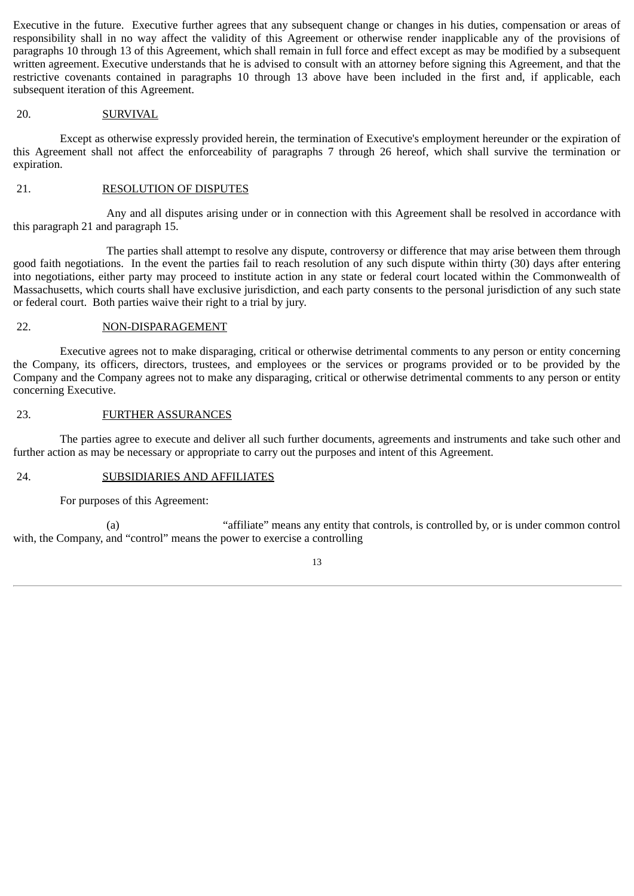Executive in the future. Executive further agrees that any subsequent change or changes in his duties, compensation or areas of responsibility shall in no way affect the validity of this Agreement or otherwise render inapplicable any of the provisions of paragraphs 10 through 13 of this Agreement, which shall remain in full force and effect except as may be modified by a subsequent written agreement. Executive understands that he is advised to consult with an attorney before signing this Agreement, and that the restrictive covenants contained in paragraphs 10 through 13 above have been included in the first and, if applicable, each subsequent iteration of this Agreement.

#### 20. SURVIVAL

Except as otherwise expressly provided herein, the termination of Executive's employment hereunder or the expiration of this Agreement shall not affect the enforceability of paragraphs 7 through 26 hereof, which shall survive the termination or expiration.

#### 21. RESOLUTION OF DISPUTES

Any and all disputes arising under or in connection with this Agreement shall be resolved in accordance with this paragraph 21 and paragraph 15.

The parties shall attempt to resolve any dispute, controversy or difference that may arise between them through good faith negotiations. In the event the parties fail to reach resolution of any such dispute within thirty (30) days after entering into negotiations, either party may proceed to institute action in any state or federal court located within the Commonwealth of Massachusetts, which courts shall have exclusive jurisdiction, and each party consents to the personal jurisdiction of any such state or federal court. Both parties waive their right to a trial by jury.

#### 22. NON-DISPARAGEMENT

Executive agrees not to make disparaging, critical or otherwise detrimental comments to any person or entity concerning the Company, its officers, directors, trustees, and employees or the services or programs provided or to be provided by the Company and the Company agrees not to make any disparaging, critical or otherwise detrimental comments to any person or entity concerning Executive.

#### 23. FURTHER ASSURANCES

The parties agree to execute and deliver all such further documents, agreements and instruments and take such other and further action as may be necessary or appropriate to carry out the purposes and intent of this Agreement.

# 24. SUBSIDIARIES AND AFFILIATES

For purposes of this Agreement:

(a) "affiliate" means any entity that controls, is controlled by, or is under common control with, the Company, and "control" means the power to exercise a controlling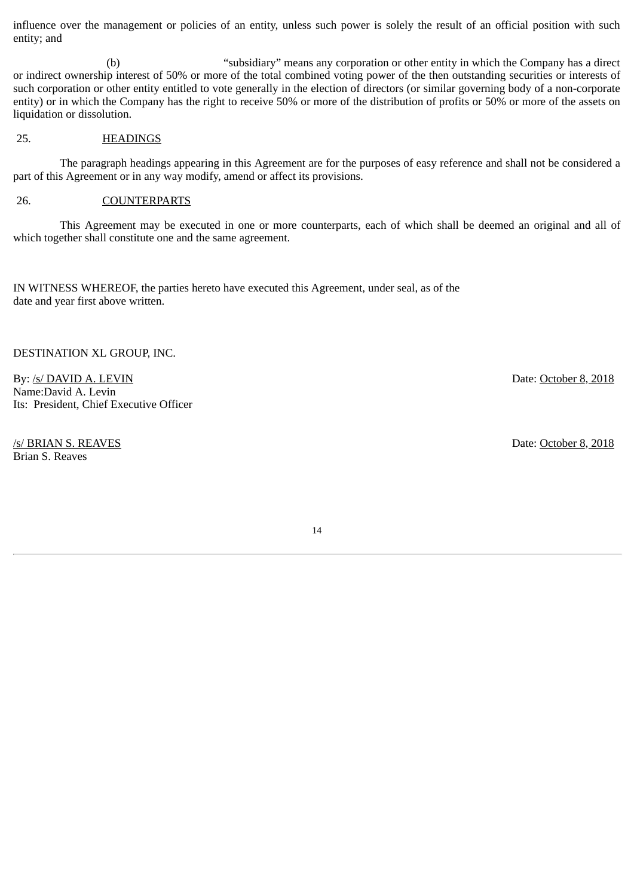influence over the management or policies of an entity, unless such power is solely the result of an official position with such entity; and

(b) "subsidiary" means any corporation or other entity in which the Company has a direct or indirect ownership interest of 50% or more of the total combined voting power of the then outstanding securities or interests of such corporation or other entity entitled to vote generally in the election of directors (or similar governing body of a non-corporate entity) or in which the Company has the right to receive 50% or more of the distribution of profits or 50% or more of the assets on liquidation or dissolution.

# 25. HEADINGS

The paragraph headings appearing in this Agreement are for the purposes of easy reference and shall not be considered a part of this Agreement or in any way modify, amend or affect its provisions.

#### 26. COUNTERPARTS

This Agreement may be executed in one or more counterparts, each of which shall be deemed an original and all of which together shall constitute one and the same agreement.

IN WITNESS WHEREOF, the parties hereto have executed this Agreement, under seal, as of the date and year first above written.

DESTINATION XL GROUP, INC.

By: /s/ DAVID A. LEVIN Date: October 8, 2018 Name:David A. Levin Its: President, Chief Executive Officer

/s/ BRIAN S. REAVES Date: October 8, 2018 Brian S. Reaves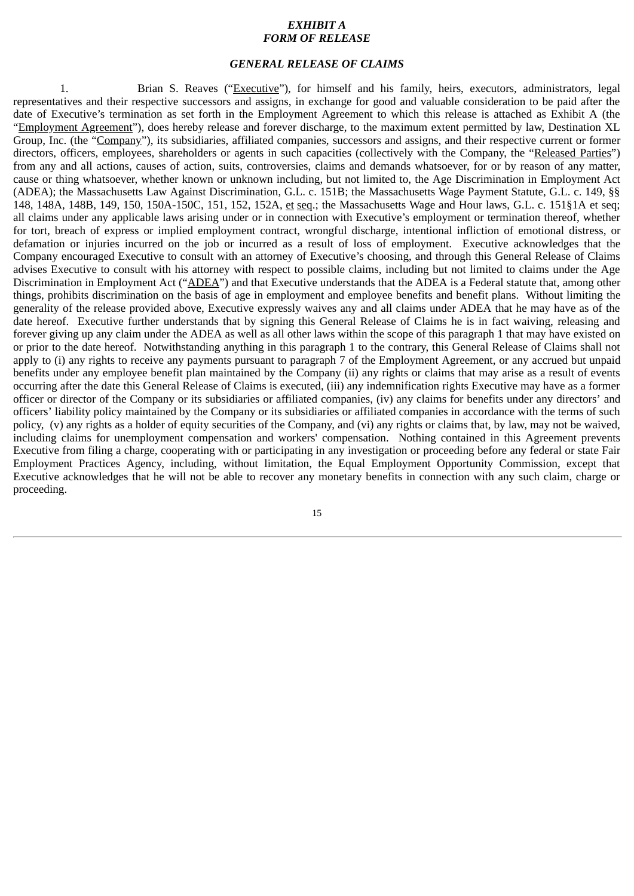#### *EXHIBIT A FORM OF RELEASE*

#### *GENERAL RELEASE OF CLAIMS*

1. Brian S. Reaves ("Executive"), for himself and his family, heirs, executors, administrators, legal representatives and their respective successors and assigns, in exchange for good and valuable consideration to be paid after the date of Executive's termination as set forth in the Employment Agreement to which this release is attached as Exhibit A (the "Employment Agreement"), does hereby release and forever discharge, to the maximum extent permitted by law, Destination XL Group, Inc. (the "Company"), its subsidiaries, affiliated companies, successors and assigns, and their respective current or former directors, officers, employees, shareholders or agents in such capacities (collectively with the Company, the "Released Parties") from any and all actions, causes of action, suits, controversies, claims and demands whatsoever, for or by reason of any matter, cause or thing whatsoever, whether known or unknown including, but not limited to, the Age Discrimination in Employment Act (ADEA); the Massachusetts Law Against Discrimination, G.L. c. 151B; the Massachusetts Wage Payment Statute, G.L. c. 149, §§ 148, 148A, 148B, 149, 150, 150A-150C, 151, 152, 152A, et seq.; the Massachusetts Wage and Hour laws, G.L. c. 151§1A et seq; all claims under any applicable laws arising under or in connection with Executive's employment or termination thereof, whether for tort, breach of express or implied employment contract, wrongful discharge, intentional infliction of emotional distress, or defamation or injuries incurred on the job or incurred as a result of loss of employment. Executive acknowledges that the Company encouraged Executive to consult with an attorney of Executive's choosing, and through this General Release of Claims advises Executive to consult with his attorney with respect to possible claims, including but not limited to claims under the Age Discrimination in Employment Act ("ADEA") and that Executive understands that the ADEA is a Federal statute that, among other things, prohibits discrimination on the basis of age in employment and employee benefits and benefit plans. Without limiting the generality of the release provided above, Executive expressly waives any and all claims under ADEA that he may have as of the date hereof. Executive further understands that by signing this General Release of Claims he is in fact waiving, releasing and forever giving up any claim under the ADEA as well as all other laws within the scope of this paragraph 1 that may have existed on or prior to the date hereof. Notwithstanding anything in this paragraph 1 to the contrary, this General Release of Claims shall not apply to (i) any rights to receive any payments pursuant to paragraph 7 of the Employment Agreement, or any accrued but unpaid benefits under any employee benefit plan maintained by the Company (ii) any rights or claims that may arise as a result of events occurring after the date this General Release of Claims is executed, (iii) any indemnification rights Executive may have as a former officer or director of the Company or its subsidiaries or affiliated companies, (iv) any claims for benefits under any directors' and officers' liability policy maintained by the Company or its subsidiaries or affiliated companies in accordance with the terms of such policy, (v) any rights as a holder of equity securities of the Company, and (vi) any rights or claims that, by law, may not be waived, including claims for unemployment compensation and workers' compensation. Nothing contained in this Agreement prevents Executive from filing a charge, cooperating with or participating in any investigation or proceeding before any federal or state Fair Employment Practices Agency, including, without limitation, the Equal Employment Opportunity Commission, except that Executive acknowledges that he will not be able to recover any monetary benefits in connection with any such claim, charge or proceeding.